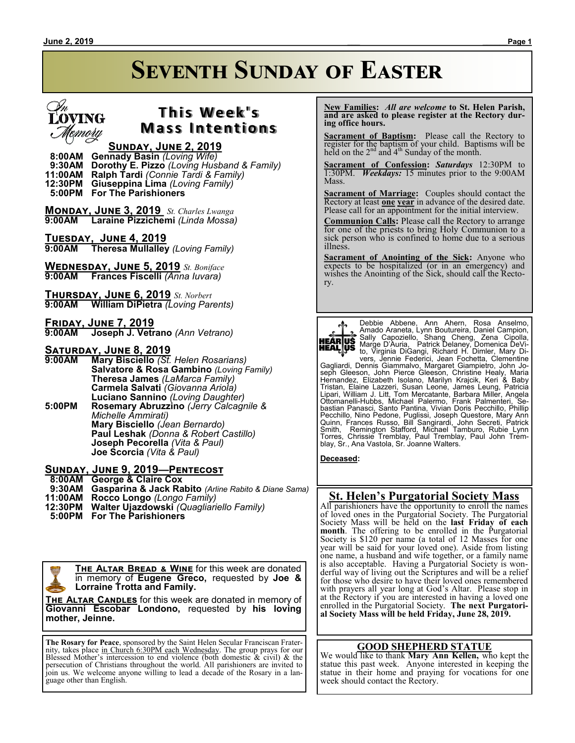# **Seventh Sunday of Easter**



## **T h i s We e k ' s Mass Intentions**

### **Sunday, June 2, 2019**

 **8:00AM Gennady Basin** *(Loving Wife)*  **9:30AM Dorothy E. Pizzo** *(Loving Husband & Family)* **11:00AM Ralph Tardi** *(Connie Tardi & Family)* **Giuseppina Lima** *(Loving Family)*  **5:00PM For The Parishioners**

**Monday, June 3, 2019** *St. Charles Lwanga* **9:00AM Laraine Pizzichemi** *(Linda Mossa)*

**TUESDAY, JUNE 4, 2019**<br>**9:00AM** Theresa Mullalley **9:00AM Theresa Mullalley** *(Loving Family)*

**Wednesday, June 5, 2019** *St. Boniface* **9:00AM Frances Fiscelli** *(Anna Iuvara)*

**Thursday, June 6, 2019** *St. Norbert* **9:00AM William DiPietra** *(Loving Parents)*

**Friday, June 7, 2019 9:00AM Joseph J. Vetrano** *(Ann Vetrano)*

# **SATURDAY, JUNE 8, 2019**<br>9:00AM Mary Bisciello (St.

**9:00AM Mary Bisciello** *(St. Helen Rosarians)* **Salvatore & Rosa Gambino** *(Loving Family)* **Theresa James** *(LaMarca Family)* **Carmela Salvati** *(Giovanna Ariola)* **Luciano Sannino** *(Loving Daughter)* **5:00PM Rosemary Abruzzino** *(Jerry Calcagnile & Michelle Ammirati)* **Mary Bisciello** *(Jean Bernardo)* **Paul Leshak** *(Donna & Robert Castillo)* **Joseph Pecorella** *(Vita & Paul)* **Joe Scorcia** *(Vita & Paul)*

#### **Sunday, June 9, 2019—Pentecost**

 **8:00AM George & Claire Cox**

- **9:30AM Gasparina & Jack Rabito** *(Arline Rabito & Diane Sama)*
- **11:00AM Rocco Longo** *(Longo Family)*
- **12:30PM Walter Ujazdowski** *(Quagliariello Family)*
- **5:00PM For The Parishioners**

**The Altar Bread & Wine** for this week are donated in memory of **Eugene Greco,** requested by **Joe & Lorraine Trotta and Family.**

**The Altar Candles** for this week are donated in memory of **Giovanni Escobar Londono,** requested by **his loving mother, Jeinne.**

**The Rosary for Peace**, sponsored by the Saint Helen Secular Franciscan Fraternity, takes place in Church 6:30PM each Wednesday. The group prays for our Blessed Mother's intercession to end violence (both domestic & civil) & the persecution of Christians throughout the world. All parishioners are invited to join us. We welcome anyone willing to lead a decade of the Rosary in a language other than English.

 **New Families:** *All are welcome* **to St. Helen Parish, and are asked to please register at the Rectory during office hours.**

**Sacrament of Baptism:**Please call the Rectory to register for the baptism of your child. Baptisms will be held on the  $2<sup>nd</sup>$  and  $4<sup>th</sup>$  Sunday of the month.

**Sacrament of Confession:** *Saturdays* 12:30PM to 1:30PM. *Weekdays:* 15 minutes prior to the 9:00AM Mass.

**Sacrament of Marriage:**Couples should contact the Rectory at least **one year** in advance of the desired date. Please call for an appointment for the initial interview.

**Communion Calls:** Please call the Rectory to arrange for one of the priests to bring Holy Communion to a sick person who is confined to home due to a serious illness.

**Sacrament of Anointing of the Sick:** Anyone who expects to be hospitalized (or in an emergency) and wishes the Anointing of the Sick, should call the Rectory.



Debbie Abbene, Ann Ahern, Rosa Anselmo,<br>Amado Araneta, Lynn-Boutureira, Daniel Campion,<br>Sally Capoziello, Shang Cheng, Zena Cipolla,<br>Marge D'Auria, Patrick-Delaney, Domenica DeVi-<br>to, Virginia DiGangi, Richard H. Dimler, M

Gagliardi, Dennis Giammalvo, Margaret Giampietro, John Joseph Gleeson, John Pierce Gleeson, Christine Healy, Maria<br>Hernandez, Elizabeth Isolano, Marilyn Krajcik, Keri & Baby<br>Tristan, Elaine Lazzeri, Susan Leone, James Leung, Patricia<br>Lipari, William J. Litt, Tom Mercatante, Barb

**Deceased:**

#### **St. Helen's Purgatorial Society Mass**

All parishioners have the opportunity to enroll the names of loved ones in the Purgatorial Society. The Purgatorial Society Mass will be held on the **last Friday of each month**. The offering to be enrolled in the Purgatorial Society is \$120 per name (a total of 12 Masses for one year will be said for your loved one). Aside from listing one name, a husband and wife together, or a family name is also acceptable. Having a Purgatorial Society is wonderful way of living out the Scriptures and will be a relief for those who desire to have their loved ones remembered with prayers all year long at God's Altar. Please stop in at the Rectory if you are interested in having a loved one enrolled in the Purgatorial Society. **The next Purgatorial Society Mass will be held Friday, June 28, 2019.**

#### **GOOD SHEPHERD STATUE**

We would like to thank **Mary Ann Kellen,** who kept the statue this past week. Anyone interested in keeping the statue in their home and praying for vocations for one week should contact the Rectory.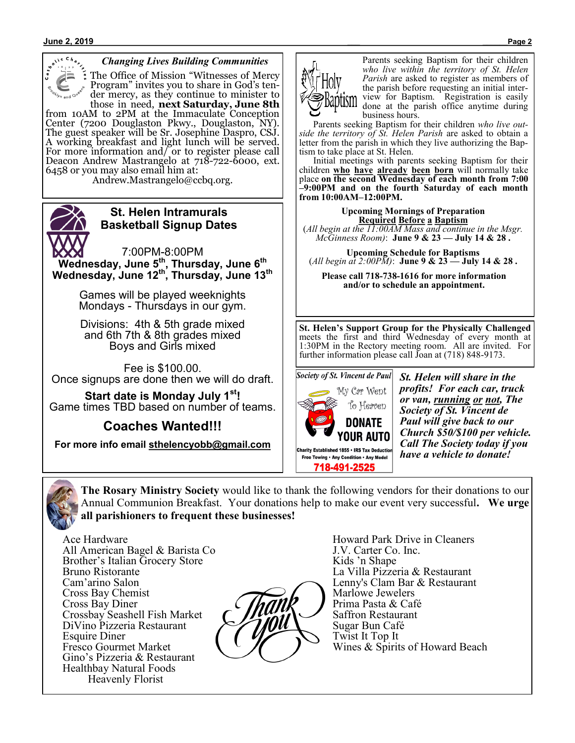

#### *Changing Lives Building Communities*

The Office of Mission "Witnesses of Mercy Program" invites you to share in God's tender mercy, as they continue to minister to those in need, **next Saturday, June 8th**

from 10AM to 2PM at the Immaculate Conception Center (7200 Douglaston Pkwy., Douglaston, NY). The guest speaker will be Sr. Josephine Daspro, CSJ. A working breakfast and light lunch will be served. For more information and/ or to register please call Deacon Andrew Mastrangelo at 718-722-6000, ext. 6458 or you may also email him at:

Andrew.Mastrangelo@ccbq.org.



### **St. Helen Intramurals Basketball Signup Dates**

7:00PM-8:00PM **Wednesday, June 5th, Thursday, June 6th Wednesday, June 12th, Thursday, June 13th**

> Games will be played weeknights Mondays - Thursdays in our gym.

> Divisions: 4th & 5th grade mixed and 6th 7th & 8th grades mixed Boys and Girls mixed

Fee is \$100.00. Once signups are done then we will do draft.

**Start date is Monday July 1st!** Game times TBD based on number of teams.

**Coaches Wanted!!!**

**For more info email sthelencyobb@gmail.com**



Parents seeking Baptism for their children *who live within the territory of St. Helen Parish* are asked to register as members of the parish before requesting an initial interview for Baptism. Registration is easily done at the parish office anytime during business hours.

 Parents seeking Baptism for their children *who live outside the territory of St. Helen Parish* are asked to obtain a letter from the parish in which they live authorizing the Baptism to take place at St. Helen.

 Initial meetings with parents seeking Baptism for their children **who have already been born** will normally take place **on the second Wednesday of each month from 7:00 –9:00PM and on the fourth Saturday of each month from 10:00AM–12:00PM.**

**Upcoming Mornings of Preparation Required Before a Baptism** (*All begin at the 11:00AM Mass and continue in the Msgr. McGinness Room)*: **June 9 & 23 — July 14 & 28 .**

**Upcoming Schedule for Baptisms** (*All begin at 2:00PM)*: **June 9 & 23 — July 14 & 28 .**

**Please call 718-738-1616 for more information and/or to schedule an appointment.**

**St. Helen's Support Group for the Physically Challenged**  meets the first and third Wednesday of every month at 1:30PM in the Rectory meeting room. All are invited. For further information please call Joan at (718) 848-9173.



*St. Helen will share in the profits! For each car, truck or van, running or not, The Society of St. Vincent de Paul will give back to our Church \$50/\$100 per vehicle. Call The Society today if you have a vehicle to donate!*



**The Rosary Ministry Society** would like to thank the following vendors for their donations to our Annual Communion Breakfast. Your donations help to make our event very successful**. We urge all parishioners to frequent these businesses!**

Ace Hardware All American Bagel & Barista Co Brother's Italian Grocery Store Bruno Ristorante Cam'arino Salon Cross Bay Chemist Cross Bay Diner Crossbay Seashell Fish Market DiVino Pizzeria Restaurant Esquire Diner Fresco Gourmet Market Gino's Pizzeria & Restaurant Healthbay Natural Foods Heavenly Florist



Howard Park Drive in Cleaners J.V. Carter Co. Inc. Kids 'n Shape La Villa Pizzeria & Restaurant Lenny's Clam Bar & Restaurant Marlowe Jewelers Prima Pasta & Café Saffron Restaurant Sugar Bun Café Twist It Top It Wines & Spirits of Howard Beach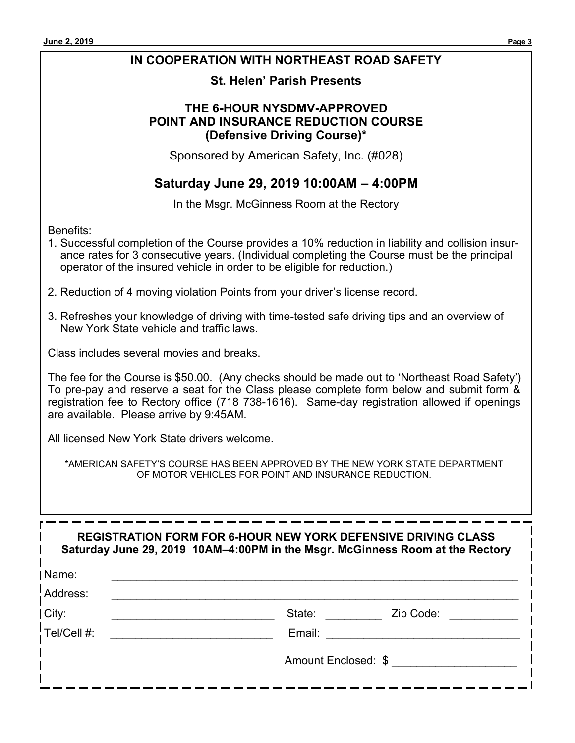## **IN COOPERATION WITH NORTHEAST ROAD SAFETY**

### **St. Helen' Parish Presents**

### **THE 6-HOUR NYSDMV-APPROVED POINT AND INSURANCE REDUCTION COURSE (Defensive Driving Course)\***

Sponsored by American Safety, Inc. (#028)

## **Saturday June 29, 2019 10:00AM – 4:00PM**

In the Msgr. McGinness Room at the Rectory

Benefits:

- 1. Successful completion of the Course provides a 10% reduction in liability and collision insurance rates for 3 consecutive years. (Individual completing the Course must be the principal operator of the insured vehicle in order to be eligible for reduction.)
- 2. Reduction of 4 moving violation Points from your driver's license record.
- 3. Refreshes your knowledge of driving with time-tested safe driving tips and an overview of New York State vehicle and traffic laws.

Class includes several movies and breaks.

The fee for the Course is \$50.00. (Any checks should be made out to 'Northeast Road Safety') To pre-pay and reserve a seat for the Class please complete form below and submit form & registration fee to Rectory office (718 738-1616). Same-day registration allowed if openings are available. Please arrive by 9:45AM.

All licensed New York State drivers welcome.

\*AMERICAN SAFETY'S COURSE HAS BEEN APPROVED BY THE NEW YORK STATE DEPARTMENT OF MOTOR VEHICLES FOR POINT AND INSURANCE REDUCTION.

|                 | <b>REGISTRATION FORM FOR 6-HOUR NEW YORK DEFENSIVE DRIVING CLASS</b><br>Saturday June 29, 2019 10AM-4:00PM in the Msgr. McGinness Room at the Rectory |
|-----------------|-------------------------------------------------------------------------------------------------------------------------------------------------------|
| Name:           |                                                                                                                                                       |
| !Address:       |                                                                                                                                                       |
| City:           | State:<br>Zip Code:                                                                                                                                   |
| $!$ Tel/Cell #: | Email:                                                                                                                                                |
|                 | Amount Enclosed: \$                                                                                                                                   |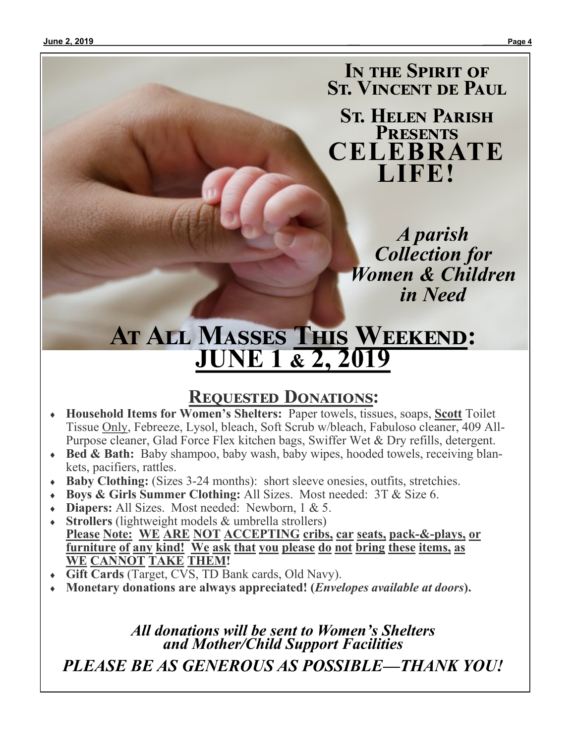**In the Spirit of St. Vincent de Paul**

**St. Helen Parish Presents CELEBRATE LIFE!**

> *A parish Collection for Women & Children in Need*

# **At All Masses This Weekend: JUNE 1 & 2, 2019**

# **Requested Donations:**

- **Household Items for Women's Shelters:**Paper towels, tissues, soaps, **Scott** Toilet Tissue Only, Febreeze, Lysol, bleach, Soft Scrub w/bleach, Fabuloso cleaner, 409 All-Purpose cleaner, Glad Force Flex kitchen bags, Swiffer Wet & Dry refills, detergent.
- **Bed & Bath:** Baby shampoo, baby wash, baby wipes, hooded towels, receiving blankets, pacifiers, rattles.
- **Baby Clothing:** (Sizes 3-24 months): short sleeve onesies, outfits, stretchies.
- **Boys & Girls Summer Clothing:** All Sizes. Most needed: 3T & Size 6.
- **Diapers:** All Sizes. Most needed: Newborn, 1 & 5.
- **Strollers** (lightweight models & umbrella strollers) **Please Note: WE ARE NOT ACCEPTING cribs, car seats, pack-&-plays, or furniture of any kind! We ask that you please do not bring these items, as WE CANNOT TAKE THEM!**
- **Gift Cards** (Target, CVS, TD Bank cards, Old Navy).
- **Monetary donations are always appreciated! (***Envelopes available at doors***).**

*All donations will be sent to Women's Shelters and Mother/Child Support Facilities PLEASE BE AS GENEROUS AS POSSIBLE—THANK YOU!*